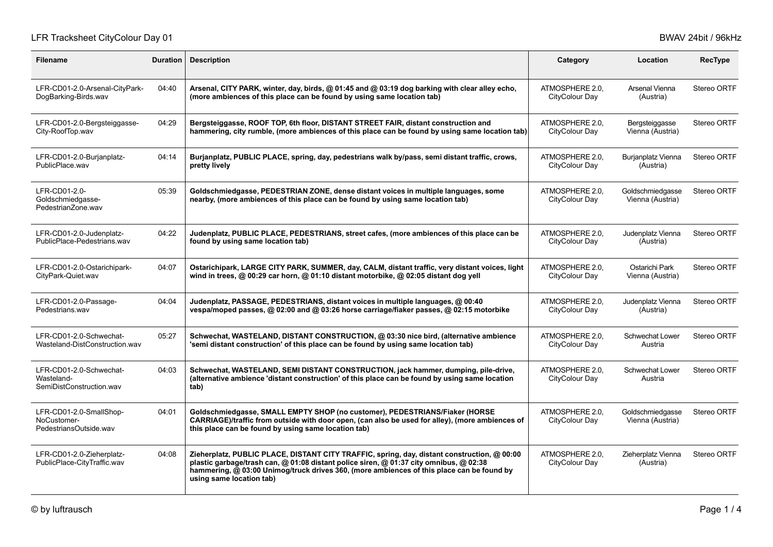# LFR Tracksheet CityColour Day 01 **BWAV 24bit / 96kHz**

| <b>Filename</b>                                                   | <b>Duration</b> | <b>Description</b>                                                                                                                                                                                                                                                                                             | Category                          | Location                             | <b>RecType</b> |
|-------------------------------------------------------------------|-----------------|----------------------------------------------------------------------------------------------------------------------------------------------------------------------------------------------------------------------------------------------------------------------------------------------------------------|-----------------------------------|--------------------------------------|----------------|
| LFR-CD01-2.0-Arsenal-CityPark-<br>DogBarking-Birds.wav            | 04:40           | Arsenal, CITY PARK, winter, day, birds, @ 01:45 and @ 03:19 dog barking with clear alley echo,<br>(more ambiences of this place can be found by using same location tab)                                                                                                                                       | ATMOSPHERE 2.0.<br>CityColour Day | Arsenal Vienna<br>(Austria)          | Stereo ORTF    |
| LFR-CD01-2.0-Bergsteiggasse-<br>City-RoofTop.wav                  | 04:29           | Bergsteiggasse, ROOF TOP, 6th floor, DISTANT STREET FAIR, distant construction and<br>hammering, city rumble, (more ambiences of this place can be found by using same location tab)                                                                                                                           | ATMOSPHERE 2.0,<br>CityColour Day | Bergsteiggasse<br>Vienna (Austria)   | Stereo ORTF    |
| LFR-CD01-2.0-Burjanplatz-<br>PublicPlace.wav                      | 04:14           | Burjanplatz, PUBLIC PLACE, spring, day, pedestrians walk by/pass, semi distant traffic, crows,<br>pretty lively                                                                                                                                                                                                | ATMOSPHERE 2.0.<br>CityColour Day | Burjanplatz Vienna<br>(Austria)      | Stereo ORTF    |
| LFR-CD01-2.0-<br>Goldschmiedgasse-<br>PedestrianZone.wav          | 05:39           | Goldschmiedgasse, PEDESTRIAN ZONE, dense distant voices in multiple languages, some<br>nearby, (more ambiences of this place can be found by using same location tab)                                                                                                                                          | ATMOSPHERE 2.0,<br>CityColour Day | Goldschmiedgasse<br>Vienna (Austria) | Stereo ORTF    |
| LFR-CD01-2.0-Judenplatz-<br>PublicPlace-Pedestrians.wav           | 04:22           | Judenplatz, PUBLIC PLACE, PEDESTRIANS, street cafes, (more ambiences of this place can be<br>found by using same location tab)                                                                                                                                                                                 | ATMOSPHERE 2.0,<br>CityColour Day | Judenplatz Vienna<br>(Austria)       | Stereo ORTF    |
| LFR-CD01-2.0-Ostarichipark-<br>CityPark-Quiet.wav                 | 04:07           | Ostarichipark, LARGE CITY PARK, SUMMER, day, CALM, distant traffic, very distant voices, light<br>wind in trees, @ 00:29 car horn, @ 01:10 distant motorbike, @ 02:05 distant dog yell                                                                                                                         | ATMOSPHERE 2.0,<br>CityColour Day | Ostarichi Park<br>Vienna (Austria)   | Stereo ORTF    |
| LFR-CD01-2.0-Passage-<br>Pedestrians.way                          | 04:04           | Judenplatz, PASSAGE, PEDESTRIANS, distant voices in multiple languages, @ 00:40<br>vespa/moped passes, @ 02:00 and @ 03:26 horse carriage/fiaker passes, @ 02:15 motorbike                                                                                                                                     | ATMOSPHERE 2.0.<br>CityColour Day | Judenplatz Vienna<br>(Austria)       | Stereo ORTF    |
| LFR-CD01-2.0-Schwechat-<br>Wasteland-DistConstruction.wav         | 05:27           | Schwechat, WASTELAND, DISTANT CONSTRUCTION, @ 03:30 nice bird, (alternative ambience<br>'semi distant construction' of this place can be found by using same location tab)                                                                                                                                     | ATMOSPHERE 2.0.<br>CityColour Day | <b>Schwechat Lower</b><br>Austria    | Stereo ORTF    |
| LFR-CD01-2.0-Schwechat-<br>Wasteland-<br>SemiDistConstruction.wav | 04:03           | Schwechat, WASTELAND, SEMI DISTANT CONSTRUCTION, jack hammer, dumping, pile-drive,<br>(alternative ambience 'distant construction' of this place can be found by using same location<br>tab)                                                                                                                   | ATMOSPHERE 2.0,<br>CityColour Day | Schwechat Lower<br>Austria           | Stereo ORTF    |
| LFR-CD01-2.0-SmallShop-<br>NoCustomer-<br>PedestriansOutside.wav  | 04:01           | Goldschmiedgasse, SMALL EMPTY SHOP (no customer), PEDESTRIANS/Fiaker (HORSE<br>CARRIAGE)/traffic from outside with door open, (can also be used for alley), (more ambiences of<br>this place can be found by using same location tab)                                                                          | ATMOSPHERE 2.0.<br>CityColour Day | Goldschmiedgasse<br>Vienna (Austria) | Stereo ORTF    |
| LFR-CD01-2.0-Zieherplatz-<br>PublicPlace-CityTraffic.wav          | 04:08           | Zieherplatz, PUBLIC PLACE, DISTANT CITY TRAFFIC, spring, day, distant construction, @ 00:00<br>plastic garbage/trash can, @ 01:08 distant police siren, @ 01:37 city omnibus, @ 02:38<br>hammering, @ 03:00 Unimog/truck drives 360, (more ambiences of this place can be found by<br>using same location tab) | ATMOSPHERE 2.0.<br>CityColour Day | Zieherplatz Vienna<br>(Austria)      | Stereo ORTF    |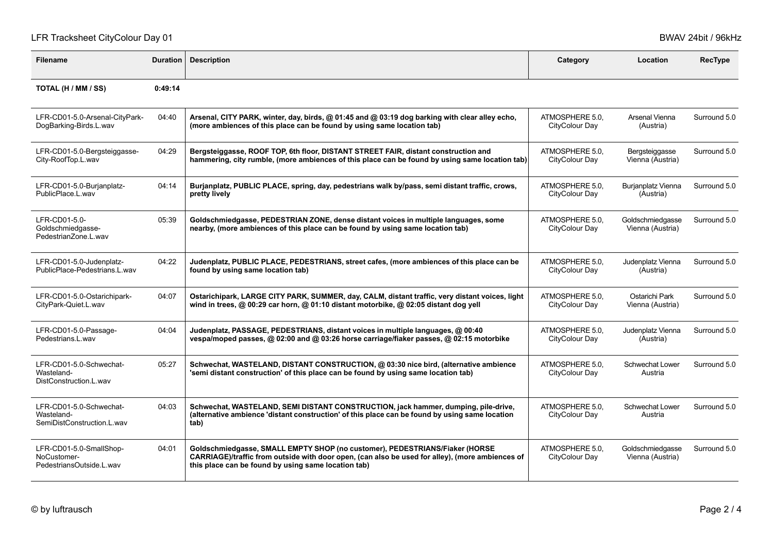# LFR Tracksheet CityColour Day 01 **BWAV 24bit / 96kHz**

| <b>Filename</b>                                                     | <b>Duration</b> | <b>Description</b>                                                                                                                                                                                                                    | Category                          | Location                             | RecType      |
|---------------------------------------------------------------------|-----------------|---------------------------------------------------------------------------------------------------------------------------------------------------------------------------------------------------------------------------------------|-----------------------------------|--------------------------------------|--------------|
| TOTAL (H / MM / SS)                                                 | 0:49:14         |                                                                                                                                                                                                                                       |                                   |                                      |              |
| LFR-CD01-5.0-Arsenal-CityPark-<br>DogBarking-Birds.L.wav            | 04:40           | Arsenal, CITY PARK, winter, day, birds, @ 01:45 and @ 03:19 dog barking with clear alley echo,<br>(more ambiences of this place can be found by using same location tab)                                                              | ATMOSPHERE 5.0.<br>CityColour Day | Arsenal Vienna<br>(Austria)          | Surround 5.0 |
| LFR-CD01-5.0-Bergsteiggasse-<br>City-RoofTop.L.wav                  | 04:29           | Bergsteiggasse, ROOF TOP, 6th floor, DISTANT STREET FAIR, distant construction and<br>hammering, city rumble, (more ambiences of this place can be found by using same location tab)                                                  | ATMOSPHERE 5.0,<br>CityColour Day | Bergsteiggasse<br>Vienna (Austria)   | Surround 5.0 |
| LFR-CD01-5.0-Burjanplatz-<br>PublicPlace.L.wav                      | 04:14           | Burjanplatz, PUBLIC PLACE, spring, day, pedestrians walk by/pass, semi distant traffic, crows,<br>pretty lively                                                                                                                       | ATMOSPHERE 5.0.<br>CityColour Day | Burjanplatz Vienna<br>(Austria)      | Surround 5.0 |
| LFR-CD01-5.0-<br>Goldschmiedgasse-<br>PedestrianZone.L.wav          | 05:39           | Goldschmiedgasse, PEDESTRIAN ZONE, dense distant voices in multiple languages, some<br>nearby, (more ambiences of this place can be found by using same location tab)                                                                 | ATMOSPHERE 5.0,<br>CityColour Day | Goldschmiedgasse<br>Vienna (Austria) | Surround 5.0 |
| LFR-CD01-5.0-Judenplatz-<br>PublicPlace-Pedestrians.L.wav           | 04:22           | Judenplatz, PUBLIC PLACE, PEDESTRIANS, street cafes, (more ambiences of this place can be<br>found by using same location tab)                                                                                                        | ATMOSPHERE 5.0,<br>CityColour Day | Judenplatz Vienna<br>(Austria)       | Surround 5.0 |
| LFR-CD01-5.0-Ostarichipark-<br>CityPark-Quiet.L.wav                 | 04:07           | Ostarichipark, LARGE CITY PARK, SUMMER, day, CALM, distant traffic, very distant voices, light<br>wind in trees, @ 00:29 car horn, @ 01:10 distant motorbike, @ 02:05 distant dog yell                                                | ATMOSPHERE 5.0.<br>CityColour Day | Ostarichi Park<br>Vienna (Austria)   | Surround 5.0 |
| LFR-CD01-5.0-Passage-<br>Pedestrians.L.wav                          | 04:04           | Judenplatz, PASSAGE, PEDESTRIANS, distant voices in multiple languages, @ 00:40<br>vespa/moped passes, @ 02:00 and @ 03:26 horse carriage/fiaker passes, @ 02:15 motorbike                                                            | ATMOSPHERE 5.0,<br>CityColour Day | Judenplatz Vienna<br>(Austria)       | Surround 5.0 |
| LFR-CD01-5.0-Schwechat-<br>Wasteland-<br>DistConstruction L.way     | 05:27           | Schwechat, WASTELAND, DISTANT CONSTRUCTION, @ 03:30 nice bird, (alternative ambience<br>'semi distant construction' of this place can be found by using same location tab)                                                            | ATMOSPHERE 5.0,<br>CityColour Day | Schwechat Lower<br>Austria           | Surround 5.0 |
| LFR-CD01-5.0-Schwechat-<br>Wasteland-<br>SemiDistConstruction.L.wav | 04:03           | Schwechat, WASTELAND, SEMI DISTANT CONSTRUCTION, jack hammer, dumping, pile-drive,<br>(alternative ambience 'distant construction' of this place can be found by using same location<br>tab)                                          | ATMOSPHERE 5.0.<br>CityColour Day | Schwechat Lower<br>Austria           | Surround 5.0 |
| LFR-CD01-5.0-SmallShop-<br>NoCustomer-<br>PedestriansOutside.L.wav  | 04:01           | Goldschmiedgasse, SMALL EMPTY SHOP (no customer), PEDESTRIANS/Fiaker (HORSE<br>CARRIAGE)/traffic from outside with door open, (can also be used for alley), (more ambiences of<br>this place can be found by using same location tab) | ATMOSPHERE 5.0,<br>CityColour Day | Goldschmiedgasse<br>Vienna (Austria) | Surround 5.0 |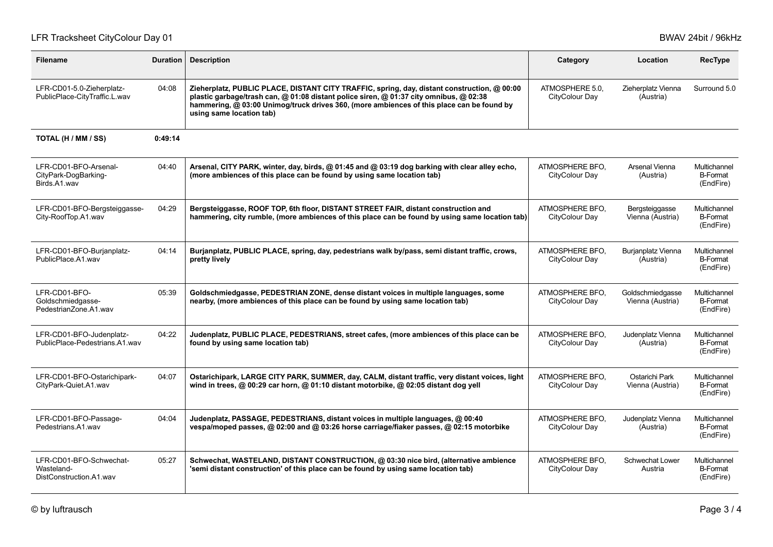# LFR Tracksheet CityColour Day 01 **BWAV 24bit / 96kHz**

| <b>Filename</b>                                                  | <b>Duration</b> | <b>Description</b>                                                                                                                                                                                                                                                                                             | Category                          | Location                             | <b>RecType</b>                               |
|------------------------------------------------------------------|-----------------|----------------------------------------------------------------------------------------------------------------------------------------------------------------------------------------------------------------------------------------------------------------------------------------------------------------|-----------------------------------|--------------------------------------|----------------------------------------------|
| LFR-CD01-5.0-Zieherplatz-<br>PublicPlace-CityTraffic.L.wav       | 04:08           | Zieherplatz, PUBLIC PLACE, DISTANT CITY TRAFFIC, spring, day, distant construction, @ 00:00<br>plastic garbage/trash can, @ 01:08 distant police siren, @ 01:37 city omnibus, @ 02:38<br>hammering, @ 03:00 Unimog/truck drives 360, (more ambiences of this place can be found by<br>using same location tab) | ATMOSPHERE 5.0.<br>CityColour Day | Zieherplatz Vienna<br>(Austria)      | Surround 5.0                                 |
| TOTAL (H / MM / SS)                                              | 0:49:14         |                                                                                                                                                                                                                                                                                                                |                                   |                                      |                                              |
| LFR-CD01-BFO-Arsenal-<br>CityPark-DogBarking-<br>Birds.A1.wav    | 04:40           | Arsenal, CITY PARK, winter, day, birds, @ 01:45 and @ 03:19 dog barking with clear alley echo,<br>(more ambiences of this place can be found by using same location tab)                                                                                                                                       | ATMOSPHERE BFO.<br>CityColour Day | Arsenal Vienna<br>(Austria)          | Multichannel<br><b>B-Format</b><br>(EndFire) |
| LFR-CD01-BFO-Bergsteiggasse-<br>City-RoofTop A1 wav              | 04:29           | Bergsteiggasse, ROOF TOP, 6th floor, DISTANT STREET FAIR, distant construction and<br>hammering, city rumble, (more ambiences of this place can be found by using same location tab)                                                                                                                           | ATMOSPHERE BFO,<br>CityColour Day | Bergsteiggasse<br>Vienna (Austria)   | Multichannel<br><b>B-Format</b><br>(EndFire) |
| LFR-CD01-BFO-Burjanplatz-<br>PublicPlace.A1.wav                  | 04:14           | Burjanplatz, PUBLIC PLACE, spring, day, pedestrians walk by/pass, semi distant traffic, crows,<br>pretty lively                                                                                                                                                                                                | ATMOSPHERE BFO.<br>CityColour Day | Burjanplatz Vienna<br>(Austria)      | Multichannel<br><b>B-Format</b><br>(EndFire) |
| LFR-CD01-BFO-<br>Goldschmiedgasse-<br>PedestrianZone.A1.wav      | 05:39           | Goldschmiedgasse, PEDESTRIAN ZONE, dense distant voices in multiple languages, some<br>nearby, (more ambiences of this place can be found by using same location tab)                                                                                                                                          | ATMOSPHERE BFO.<br>CityColour Day | Goldschmiedgasse<br>Vienna (Austria) | Multichannel<br><b>B-Format</b><br>(EndFire) |
| LFR-CD01-BFO-Judenplatz-<br>PublicPlace-Pedestrians.A1.wav       | 04:22           | Judenplatz, PUBLIC PLACE, PEDESTRIANS, street cafes, (more ambiences of this place can be<br>found by using same location tab)                                                                                                                                                                                 | ATMOSPHERE BFO.<br>CityColour Day | Judenplatz Vienna<br>(Austria)       | Multichannel<br><b>B-Format</b><br>(EndFire) |
| LFR-CD01-BFO-Ostarichipark-<br>CityPark-Quiet.A1.wav             | 04:07           | Ostarichipark, LARGE CITY PARK, SUMMER, day, CALM, distant traffic, very distant voices, light<br>wind in trees, @ 00:29 car horn, @ 01:10 distant motorbike, @ 02:05 distant dog yell                                                                                                                         | ATMOSPHERE BFO.<br>CityColour Day | Ostarichi Park<br>Vienna (Austria)   | Multichannel<br><b>B-Format</b><br>(EndFire) |
| LFR-CD01-BFO-Passage-<br>Pedestrians.A1.wav                      | 04:04           | Judenplatz, PASSAGE, PEDESTRIANS, distant voices in multiple languages, @ 00:40<br>vespa/moped passes, @ 02:00 and @ 03:26 horse carriage/fiaker passes, @ 02:15 motorbike                                                                                                                                     | ATMOSPHERE BFO.<br>CityColour Day | Judenplatz Vienna<br>(Austria)       | Multichannel<br><b>B-Format</b><br>(EndFire) |
| LFR-CD01-BFO-Schwechat-<br>Wasteland-<br>DistConstruction A1 wav | 05:27           | Schwechat, WASTELAND, DISTANT CONSTRUCTION, @ 03:30 nice bird, (alternative ambience<br>'semi distant construction' of this place can be found by using same location tab)                                                                                                                                     | ATMOSPHERE BFO.<br>CityColour Day | Schwechat Lower<br>Austria           | Multichannel<br><b>B-Format</b><br>(EndFire) |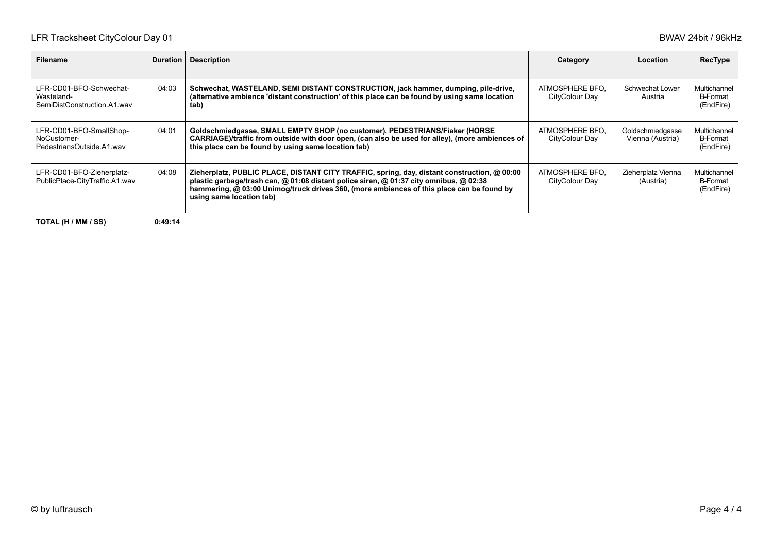| Filename                                                             | Duration | <b>Description</b>                                                                                                                                                                                                                                                                                             | Category                          | Location                             | RecType                                      |
|----------------------------------------------------------------------|----------|----------------------------------------------------------------------------------------------------------------------------------------------------------------------------------------------------------------------------------------------------------------------------------------------------------------|-----------------------------------|--------------------------------------|----------------------------------------------|
| LFR-CD01-BFO-Schwechat-<br>Wasteland-<br>SemiDistConstruction A1 way | 04:03    | Schwechat, WASTELAND, SEMI DISTANT CONSTRUCTION, jack hammer, dumping, pile-drive,<br>(alternative ambience 'distant construction' of this place can be found by using same location<br>tab)                                                                                                                   | ATMOSPHERE BFO.<br>CityColour Day | Schwechat Lower<br>Austria           | Multichannel<br><b>B-Format</b><br>(EndFire) |
| LFR-CD01-BFO-SmallShop-<br>NoCustomer-<br>PedestriansOutside.A1.wav  | 04:01    | Goldschmiedgasse, SMALL EMPTY SHOP (no customer), PEDESTRIANS/Fiaker (HORSE<br>CARRIAGE)/traffic from outside with door open, (can also be used for alley), (more ambiences of<br>this place can be found by using same location tab)                                                                          | ATMOSPHERE BFO.<br>CityColour Day | Goldschmiedgasse<br>Vienna (Austria) | Multichannel<br><b>B-Format</b><br>(EndFire) |
| LFR-CD01-BFO-Zieherplatz-<br>PublicPlace-CityTraffic.A1.wav          | 04:08    | Zieherplatz, PUBLIC PLACE, DISTANT CITY TRAFFIC, spring, day, distant construction, @ 00:00<br>plastic garbage/trash can, @ 01:08 distant police siren, @ 01:37 city omnibus, @ 02:38<br>hammering, @ 03:00 Unimog/truck drives 360, (more ambiences of this place can be found by<br>using same location tab) | ATMOSPHERE BFO.<br>CityColour Day | Zieherplatz Vienna<br>(Austria)      | Multichannel<br>B-Format<br>(EndFire)        |
| TOTAL (H / MM / SS)                                                  | 0:49:14  |                                                                                                                                                                                                                                                                                                                |                                   |                                      |                                              |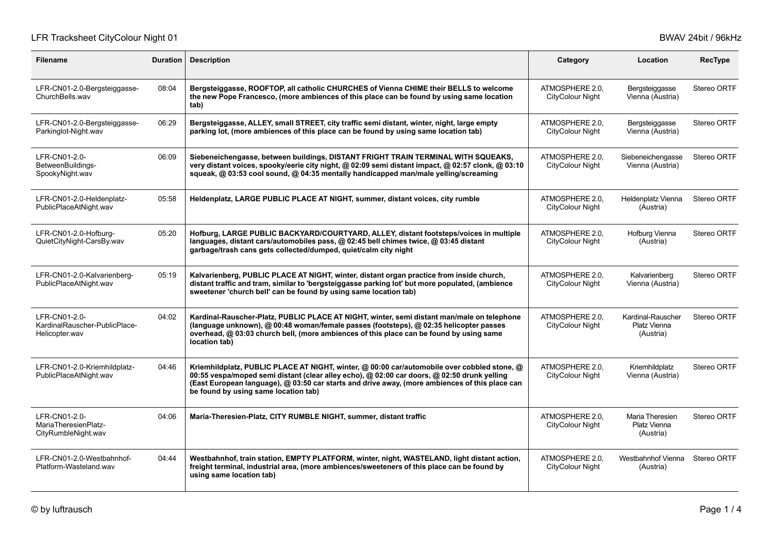# LFR Tracksheet CityColour Night 01 by the USA Colour Night 01 BWAV 24bit / 96kHz

| <b>Filename</b>                                                  | <b>Duration</b> | <b>Description</b>                                                                                                                                                                                                                                                                                                                   | Category                                   | Location                                       | <b>RecType</b>     |
|------------------------------------------------------------------|-----------------|--------------------------------------------------------------------------------------------------------------------------------------------------------------------------------------------------------------------------------------------------------------------------------------------------------------------------------------|--------------------------------------------|------------------------------------------------|--------------------|
| LFR-CN01-2.0-Bergsteiggasse-<br>ChurchBells.wav                  | 08:04           | Bergsteiggasse, ROOFTOP, all catholic CHURCHES of Vienna CHIME their BELLS to welcome<br>the new Pope Francesco, (more ambiences of this place can be found by using same location<br>tab)                                                                                                                                           | ATMOSPHERE 2.0.<br>CityColour Night        | Bergsteiggasse<br>Vienna (Austria)             | Stereo ORTF        |
| LFR-CN01-2.0-Bergsteiggasse-<br>Parkinglot-Night.wav             | 06:29           | Bergsteiggasse, ALLEY, small STREET, city traffic semi distant, winter, night, large empty<br>parking lot, (more ambiences of this place can be found by using same location tab)                                                                                                                                                    | ATMOSPHERE 2.0.<br>CityColour Night        | Bergsteiggasse<br>Vienna (Austria)             | <b>Stereo ORTF</b> |
| LFR-CN01-2.0-<br>BetweenBuildings-<br>SpookyNight.wav            | 06:09           | Siebeneichengasse, between buildings, DISTANT FRIGHT TRAIN TERMINAL WITH SQUEAKS,<br>very distant voices, spooky/eerie city night, @ 02:09 semi distant impact, @ 02:57 clonk, @ 03:10<br>squeak, @ 03:53 cool sound, @ 04:35 mentally handicapped man/male yelling/screaming                                                        | ATMOSPHERE 2.0.<br>CityColour Night        | Siebeneichengasse<br>Vienna (Austria)          | Stereo ORTF        |
| LFR-CN01-2.0-Heldenplatz-<br>PublicPlaceAtNight.wav              | 05:58           | Heldenplatz, LARGE PUBLIC PLACE AT NIGHT, summer, distant voices, city rumble                                                                                                                                                                                                                                                        | ATMOSPHERE 2.0,<br>CityColour Night        | Heldenplatz Vienna<br>(Austria)                | Stereo ORTF        |
| LFR-CN01-2.0-Hofburg-<br>QuietCityNight-CarsBy.wav               | 05:20           | Hofburg, LARGE PUBLIC BACKYARD/COURTYARD, ALLEY, distant footsteps/voices in multiple<br>languages, distant cars/automobiles pass, @ 02:45 bell chimes twice, @ 03:45 distant<br>garbage/trash cans gets collected/dumped, quiet/calm city night                                                                                     | ATMOSPHERE 2.0,<br>CityColour Night        | Hofburg Vienna<br>(Austria)                    | Stereo ORTF        |
| LFR-CN01-2.0-Kalvarienberg-<br>PublicPlaceAtNight.wav            | 05:19           | Kalvarienberg, PUBLIC PLACE AT NIGHT, winter, distant organ practice from inside church,<br>distant traffic and tram, similar to 'bergsteiggasse parking lot' but more populated, (ambience<br>sweetener 'church bell' can be found by using same location tab)                                                                      | ATMOSPHERE 2.0.<br><b>CityColour Night</b> | Kalvarienberg<br>Vienna (Austria)              | Stereo ORTF        |
| LFR-CN01-2.0-<br>KardinalRauscher-PublicPlace-<br>Helicopter.wav | 04:02           | Kardinal-Rauscher-Platz, PUBLIC PLACE AT NIGHT, winter, semi distant man/male on telephone<br>(language unknown), @ 00:48 woman/female passes (footsteps), @ 02:35 helicopter passes<br>overhead, @ 03:03 church bell, (more ambiences of this place can be found by using same<br>location tab)                                     | ATMOSPHERE 2.0.<br>CityColour Night        | Kardinal-Rauscher<br>Platz Vienna<br>(Austria) | Stereo ORTF        |
| LFR-CN01-2.0-Kriemhildplatz-<br>PublicPlaceAtNight.wav           | 04:46           | Kriemhildplatz, PUBLIC PLACE AT NIGHT, winter, @ 00:00 car/automobile over cobbled stone, @<br>00:55 vespa/moped semi distant (clear alley echo), @ 02:00 car doors, @ 02:50 drunk yelling<br>(East European language), @ 03:50 car starts and drive away, (more ambiences of this place can<br>be found by using same location tab) | ATMOSPHERE 2.0.<br>CityColour Night        | Kriemhildplatz<br>Vienna (Austria)             | Stereo ORTF        |
| LFR-CN01-2.0-<br>MariaTheresienPlatz-<br>CityRumbleNight.wav     | 04:06           | Maria-Theresien-Platz, CITY RUMBLE NIGHT, summer, distant traffic                                                                                                                                                                                                                                                                    | ATMOSPHERE 2.0.<br>CityColour Night        | Maria Theresien<br>Platz Vienna<br>(Austria)   | Stereo ORTF        |
| LFR-CN01-2.0-Westbahnhof-<br>Platform-Wasteland.way              | 04:44           | Westbahnhof, train station, EMPTY PLATFORM, winter, night, WASTELAND, light distant action,<br>freight terminal, industrial area, (more ambiences/sweeteners of this place can be found by<br>using same location tab)                                                                                                               | ATMOSPHERE 2.0.<br>CityColour Night        | Westbahnhof Vienna<br>(Austria)                | Stereo ORTF        |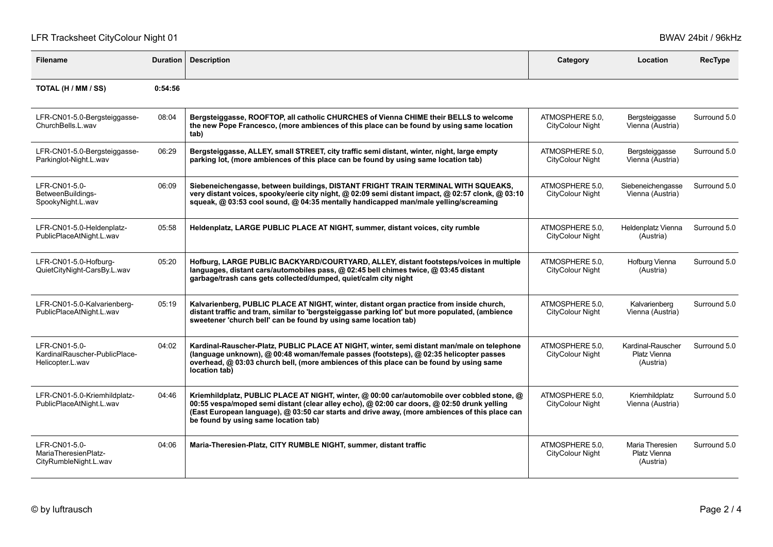## LFR Tracksheet CityColour Night 01 by the control of the state of the BWAV 24bit / 96kHz

| <b>Filename</b>                                                    | <b>Duration</b> | <b>Description</b>                                                                                                                                                                                                                                                                                                                   | Category                                   | Location                                       | RecType      |
|--------------------------------------------------------------------|-----------------|--------------------------------------------------------------------------------------------------------------------------------------------------------------------------------------------------------------------------------------------------------------------------------------------------------------------------------------|--------------------------------------------|------------------------------------------------|--------------|
| TOTAL (H / MM / SS)                                                | 0:54:56         |                                                                                                                                                                                                                                                                                                                                      |                                            |                                                |              |
| LFR-CN01-5.0-Bergsteiggasse-<br>ChurchBells.L.wav                  | 08:04           | Bergsteiggasse, ROOFTOP, all catholic CHURCHES of Vienna CHIME their BELLS to welcome<br>the new Pope Francesco, (more ambiences of this place can be found by using same location<br>tab)                                                                                                                                           | ATMOSPHERE 5.0,<br><b>CityColour Night</b> | Bergsteiggasse<br>Vienna (Austria)             | Surround 5.0 |
| LFR-CN01-5.0-Bergsteiggasse-<br>Parkinglot-Night.L.wav             | 06:29           | Bergsteiggasse, ALLEY, small STREET, city traffic semi distant, winter, night, large empty<br>parking lot, (more ambiences of this place can be found by using same location tab)                                                                                                                                                    | ATMOSPHERE 5.0.<br><b>CityColour Night</b> | Bergsteiggasse<br>Vienna (Austria)             | Surround 5.0 |
| LFR-CN01-5.0-<br>BetweenBuildings-<br>SpookyNight.L.wav            | 06:09           | Siebeneichengasse, between buildings, DISTANT FRIGHT TRAIN TERMINAL WITH SQUEAKS,<br>very distant voices, spooky/eerie city night, @ 02:09 semi distant impact, @ 02:57 clonk, @ 03:10<br>squeak, @ 03:53 cool sound, @ 04:35 mentally handicapped man/male yelling/screaming                                                        | ATMOSPHERE 5.0.<br>CityColour Night        | Siebeneichengasse<br>Vienna (Austria)          | Surround 5.0 |
| LFR-CN01-5.0-Heldenplatz-<br>PublicPlaceAtNight.L.wav              | 05:58           | Heldenplatz, LARGE PUBLIC PLACE AT NIGHT, summer, distant voices, city rumble                                                                                                                                                                                                                                                        | ATMOSPHERE 5.0.<br>CityColour Night        | Heldenplatz Vienna<br>(Austria)                | Surround 5.0 |
| LFR-CN01-5.0-Hofburg-<br>QuietCityNight-CarsBy.L.wav               | 05:20           | Hofburg, LARGE PUBLIC BACKYARD/COURTYARD, ALLEY, distant footsteps/voices in multiple<br>languages, distant cars/automobiles pass, @ 02:45 bell chimes twice, @ 03:45 distant<br>garbage/trash cans gets collected/dumped, quiet/calm city night                                                                                     | ATMOSPHERE 5.0,<br>CityColour Night        | Hofburg Vienna<br>(Austria)                    | Surround 5.0 |
| LFR-CN01-5.0-Kalvarienberg-<br>PublicPlaceAtNight.L.wav            | 05:19           | Kalvarienberg, PUBLIC PLACE AT NIGHT, winter, distant organ practice from inside church,<br>distant traffic and tram, similar to 'bergsteiggasse parking lot' but more populated, (ambience<br>sweetener 'church bell' can be found by using same location tab)                                                                      | ATMOSPHERE 5.0.<br>CityColour Night        | Kalvarienberg<br>Vienna (Austria)              | Surround 5.0 |
| LFR-CN01-5.0-<br>KardinalRauscher-PublicPlace-<br>Helicopter.L.wav | 04:02           | Kardinal-Rauscher-Platz, PUBLIC PLACE AT NIGHT, winter, semi distant man/male on telephone<br>(language unknown), @ 00:48 woman/female passes (footsteps), @ 02:35 helicopter passes<br>overhead, @ 03:03 church bell, (more ambiences of this place can be found by using same<br>location tab)                                     | ATMOSPHERE 5.0.<br>CityColour Night        | Kardinal-Rauscher<br>Platz Vienna<br>(Austria) | Surround 5.0 |
| LFR-CN01-5.0-Kriemhildplatz-<br>PublicPlaceAtNight.L.wav           | 04:46           | Kriemhildplatz, PUBLIC PLACE AT NIGHT, winter, @ 00:00 car/automobile over cobbled stone, @<br>00:55 vespa/moped semi distant (clear alley echo), @ 02:00 car doors, @ 02:50 drunk yelling<br>(East European language), @ 03:50 car starts and drive away, (more ambiences of this place can<br>be found by using same location tab) | ATMOSPHERE 5.0,<br>CityColour Night        | Kriemhildplatz<br>Vienna (Austria)             | Surround 5.0 |
| LFR-CN01-5.0-<br>MariaTheresienPlatz-<br>CityRumbleNight.L.wav     | 04:06           | Maria-Theresien-Platz, CITY RUMBLE NIGHT, summer, distant traffic                                                                                                                                                                                                                                                                    | ATMOSPHERE 5.0,<br>CityColour Night        | Maria Theresien<br>Platz Vienna<br>(Austria)   | Surround 5.0 |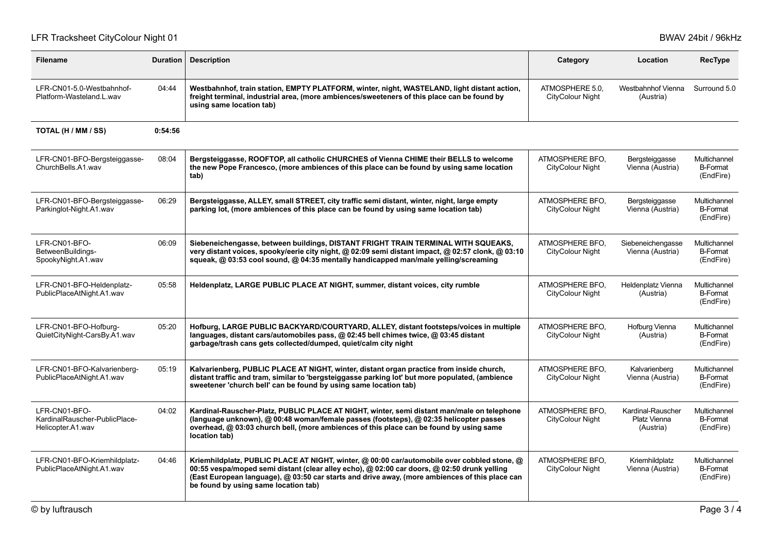# LFR Tracksheet CityColour Night 01 by the USA Colour Night 01 BWAV 24bit / 96kHz

| <b>Filename</b>                                                     | <b>Duration</b> | <b>Description</b>                                                                                                                                                                                                                                                                                                                   | Category                            | Location                                       | <b>RecType</b>                               |
|---------------------------------------------------------------------|-----------------|--------------------------------------------------------------------------------------------------------------------------------------------------------------------------------------------------------------------------------------------------------------------------------------------------------------------------------------|-------------------------------------|------------------------------------------------|----------------------------------------------|
| LFR-CN01-5.0-Westbahnhof-<br>Platform-Wasteland.L.wav               | 04:44           | Westbahnhof, train station, EMPTY PLATFORM, winter, night, WASTELAND, light distant action,<br>freight terminal, industrial area, (more ambiences/sweeteners of this place can be found by<br>using same location tab)                                                                                                               | ATMOSPHERE 5.0.<br>CityColour Night | Westbahnhof Vienna<br>(Austria)                | Surround 5.0                                 |
| TOTAL (H / MM / SS)                                                 | 0:54:56         |                                                                                                                                                                                                                                                                                                                                      |                                     |                                                |                                              |
| LFR-CN01-BFO-Bergsteiggasse-<br>ChurchBells.A1.wav                  | 08:04           | Bergsteiggasse, ROOFTOP, all catholic CHURCHES of Vienna CHIME their BELLS to welcome<br>the new Pope Francesco, (more ambiences of this place can be found by using same location<br>tab)                                                                                                                                           | ATMOSPHERE BFO.<br>CityColour Night | Bergsteiggasse<br>Vienna (Austria)             | Multichannel<br><b>B-Format</b><br>(EndFire) |
| LFR-CN01-BFO-Bergsteiggasse-<br>Parkinglot-Night.A1.wav             | 06:29           | Bergsteiggasse, ALLEY, small STREET, city traffic semi distant, winter, night, large empty<br>parking lot, (more ambiences of this place can be found by using same location tab)                                                                                                                                                    | ATMOSPHERE BFO.<br>CityColour Night | Bergsteiggasse<br>Vienna (Austria)             | Multichannel<br><b>B-Format</b><br>(EndFire) |
| LFR-CN01-BFO-<br>BetweenBuildings-<br>SpookyNight A1 wav            | 06:09           | Siebeneichengasse, between buildings, DISTANT FRIGHT TRAIN TERMINAL WITH SQUEAKS,<br>very distant voices, spooky/eerie city night, @ 02:09 semi distant impact, @ 02:57 clonk, @ 03:10<br>squeak, @ 03:53 cool sound, @ 04:35 mentally handicapped man/male yelling/screaming                                                        | ATMOSPHERE BFO.<br>CityColour Night | Siebeneichengasse<br>Vienna (Austria)          | Multichannel<br><b>B-Format</b><br>(EndFire) |
| LFR-CN01-BFO-Heldenplatz-<br>PublicPlaceAtNight.A1.wav              | 05:58           | Heldenplatz, LARGE PUBLIC PLACE AT NIGHT, summer, distant voices, city rumble                                                                                                                                                                                                                                                        | ATMOSPHERE BFO.<br>CityColour Night | Heldenplatz Vienna<br>(Austria)                | Multichannel<br><b>B-Format</b><br>(EndFire) |
| LFR-CN01-BFO-Hofburg-<br>QuietCityNight-CarsBy.A1.wav               | 05:20           | Hofburg, LARGE PUBLIC BACKYARD/COURTYARD, ALLEY, distant footsteps/voices in multiple<br>languages, distant cars/automobiles pass, @ 02:45 bell chimes twice, @ 03:45 distant<br>garbage/trash cans gets collected/dumped, quiet/calm city night                                                                                     | ATMOSPHERE BFO.<br>CityColour Night | Hofburg Vienna<br>(Austria)                    | Multichannel<br><b>B-Format</b><br>(EndFire) |
| LFR-CN01-BFO-Kalvarienberg-<br>PublicPlaceAtNight.A1.wav            | 05:19           | Kalvarienberg, PUBLIC PLACE AT NIGHT, winter, distant organ practice from inside church,<br>distant traffic and tram, similar to 'bergsteiggasse parking lot' but more populated, (ambience<br>sweetener 'church bell' can be found by using same location tab)                                                                      | ATMOSPHERE BFO.<br>CityColour Night | Kalvarienberg<br>Vienna (Austria)              | Multichannel<br><b>B-Format</b><br>(EndFire) |
| LFR-CN01-BFO-<br>KardinalRauscher-PublicPlace-<br>Helicopter.A1.wav | 04:02           | Kardinal-Rauscher-Platz, PUBLIC PLACE AT NIGHT, winter, semi distant man/male on telephone<br>(language unknown), @ 00:48 woman/female passes (footsteps), @ 02:35 helicopter passes<br>overhead, @ 03:03 church bell, (more ambiences of this place can be found by using same<br>location tab)                                     | ATMOSPHERE BFO.<br>CityColour Night | Kardinal-Rauscher<br>Platz Vienna<br>(Austria) | Multichannel<br><b>B-Format</b><br>(EndFire) |
| LFR-CN01-BFO-Kriemhildplatz-<br>PublicPlaceAtNight.A1.wav           | 04:46           | Kriemhildplatz, PUBLIC PLACE AT NIGHT, winter, @ 00:00 car/automobile over cobbled stone, @<br>00:55 vespa/moped semi distant (clear alley echo), @ 02:00 car doors, @ 02:50 drunk yelling<br>(East European language), @ 03:50 car starts and drive away, (more ambiences of this place can<br>be found by using same location tab) | ATMOSPHERE BFO.<br>CityColour Night | Kriemhildplatz<br>Vienna (Austria)             | Multichannel<br><b>B-Format</b><br>(EndFire) |